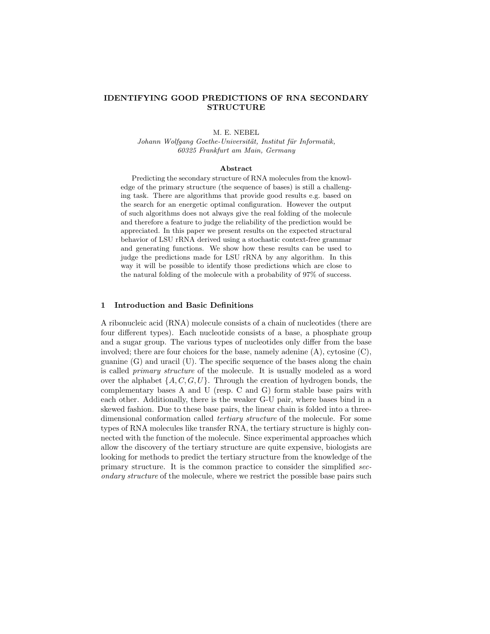# **IDENTIFYING GOOD PREDICTIONS OF RNA SECONDARY STRUCTURE**

M. E. NEBEL

*John Wolfgang Goethert am Main Cermany 60325 Frankfurt am Main, Germany*

#### **Abstract**

Predicting the secondary structure of RNA molecules from the knowledge of the primary structure (the sequence of bases) is still a challenging task. There are algorithms that provide good results e.g. based on the search for an energetic optimal configuration. However the output of such algorithms does not always give the real folding of the molecule and therefore a feature to judge the reliability of the prediction would be appreciated. In this paper we present results on the expected structural behavior of LSU rRNA derived using a stochastic context-free grammar and generating functions. We show how these results can be used to judge the predictions made for LSU rRNA by any algorithm. In this way it will be possible to identify those predictions which are close to the natural folding of the molecule with a probability of 97% of success.

### **1 Introduction and Basic Definitions**

A ribonucleic acid (RNA) molecule consists of a chain of nucleotides (there are four different types). Each nucleotide consists of a base, a phosphate group and a sugar group. The various types of nucleotides only differ from the base involved; there are four choices for the base, namely adenine (A), cytosine (C), guanine (G) and uracil (U). The specific sequence of the bases along the chain is called *primary structure* of the molecule. It is usually modeled as a word over the alphabet  $\{A, C, G, U\}$ . Through the creation of hydrogen bonds, the complementary bases A and U (resp. C and G) form stable base pairs with each other. Additionally, there is the weaker G-U pair, where bases bind in a skewed fashion. Due to these base pairs, the linear chain is folded into a threedimensional conformation called *tertiary structure* of the molecule. For some types of RNA molecules like transfer RNA, the tertiary structure is highly connected with the function of the molecule. Since experimental approaches which allow the discovery of the tertiary structure are quite expensive, biologists are looking for methods to predict the tertiary structure from the knowledge of the primary structure. It is the common practice to consider the simplified *secondary structure* of the molecule, where we restrict the possible base pairs such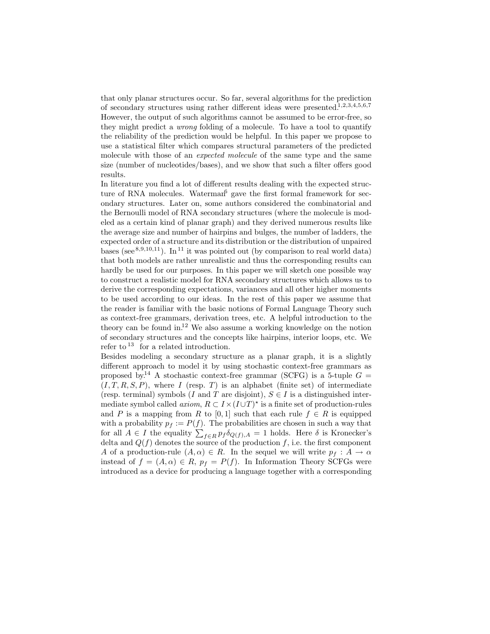that only planar structures occur. So far, several algorithms for the prediction of secondary structures using rather different ideas were presented.<sup>1,2,3,4,5,6,7</sup> However, the output of such algorithms cannot be assumed to be error-free, so they might predict a *wrong* folding of a molecule. To have a tool to quantify the reliability of the prediction would be helpful. In this paper we propose to use a statistical filter which compares structural parameters of the predicted molecule with those of an *expected molecule* of the same type and the same size (number of nucleotides/bases), and we show that such a filter offers good results.

In literature you find a lot of different results dealing with the expected structure of RNA molecules. Waterman<sup>6</sup> gave the first formal framework for secondary structures. Later on, some authors considered the combinatorial and the Bernoulli model of RNA secondary structures (where the molecule is modeled as a certain kind of planar graph) and they derived numerous results like the average size and number of hairpins and bulges, the number of ladders, the expected order of a structure and its distribution or the distribution of unpaired bases (see  $8,9,10,11$ ). In <sup>11</sup> it was pointed out (by comparison to real world data) that both models are rather unrealistic and thus the corresponding results can hardly be used for our purposes. In this paper we will sketch one possible way to construct a realistic model for RNA secondary structures which allows us to derive the corresponding expectations, variances and all other higher moments to be used according to our ideas. In the rest of this paper we assume that the reader is familiar with the basic notions of Formal Language Theory such as context-free grammars, derivation trees, etc. A helpful introduction to the theory can be found in.<sup>12</sup> We also assume a working knowledge on the notion of secondary structures and the concepts like hairpins, interior loops, etc. We refer to  $13$  for a related introduction.

Besides modeling a secondary structure as a planar graph, it is a slightly different approach to model it by using stochastic context-free grammars as proposed by.<sup>14</sup> A stochastic context-free grammar (SCFG) is a 5-tuple  $G =$  $(I, T, R, S, P)$ , where I (resp. T) is an alphabet (finite set) of intermediate (resp. terminal) symbols (I and T are disjoint),  $S \in I$  is a distinguished intermediate symbol called  $axiom, R \subset I \times (I \cup T)^*$  is a finite set of production-rules and P is a mapping from R to [0,1] such that each rule  $f \in R$  is equipped with a probability  $p_f := P(f)$ . The probabilities are chosen in such a way that for all  $A \in I$  the equality  $\sum_{f \in R} p_f \delta_{Q(f),A} = 1$  holds. Here  $\delta$  is Kronecker's delta and  $Q(f)$  denotes the source of the production f, i.e. the first component A of a production-rule  $(A, \alpha) \in R$ . In the sequel we will write  $p_f : A \to \alpha$ instead of  $f = (A, \alpha) \in R$ ,  $p_f = P(f)$ . In Information Theory SCFGs were introduced as a device for producing a language together with a corresponding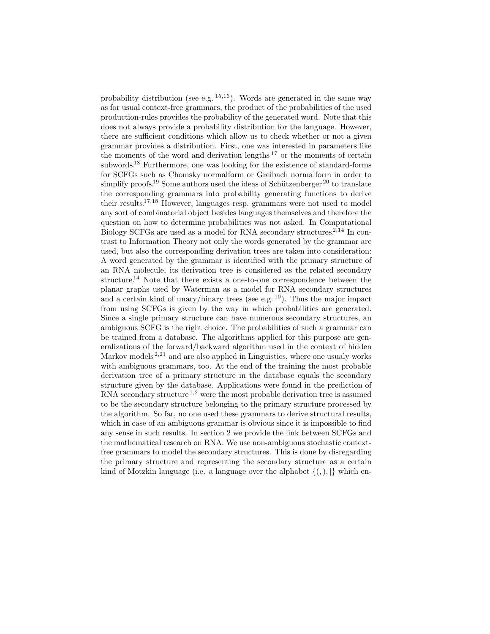probability distribution (see e.g.  $15,16$ ). Words are generated in the same way as for usual context-free grammars, the product of the probabilities of the used production-rules provides the probability of the generated word. Note that this does not always provide a probability distribution for the language. However, there are sufficient conditions which allow us to check whether or not a given grammar provides a distribution. First, one was interested in parameters like the moments of the word and derivation lengths <sup>17</sup> or the moments of certain subwords.<sup>18</sup> Furthermore, one was looking for the existence of standard-forms for SCFGs such as Chomsky normalform or Greibach normalform in order to simplify proofs.<sup>19</sup> Some authors used the ideas of Schützenberger<sup>20</sup> to translate the corresponding grammars into probability generating functions to derive their results.17,<sup>18</sup> However, languages resp. grammars were not used to model any sort of combinatorial object besides languages themselves and therefore the question on how to determine probabilities was not asked. In Computational Biology SCFGs are used as a model for RNA secondary structures.<sup>2,14</sup> In contrast to Information Theory not only the words generated by the grammar are used, but also the corresponding derivation trees are taken into consideration: A word generated by the grammar is identified with the primary structure of an RNA molecule, its derivation tree is considered as the related secondary structure.<sup>14</sup> Note that there exists a one-to-one correspondence between the planar graphs used by Waterman as a model for RNA secondary structures and a certain kind of unary/binary trees (see e.g.  $^{10}$ ). Thus the major impact from using SCFGs is given by the way in which probabilities are generated. Since a single primary structure can have numerous secondary structures, an ambiguous SCFG is the right choice. The probabilities of such a grammar can be trained from a database. The algorithms applied for this purpose are generalizations of the forward/backward algorithm used in the context of hidden Markov models<sup> $2,21$ </sup> and are also applied in Linguistics, where one usualy works with ambiguous grammars, too. At the end of the training the most probable derivation tree of a primary structure in the database equals the secondary structure given by the database. Applications were found in the prediction of RNA secondary structure<sup>1,2</sup> were the most probable derivation tree is assumed to be the secondary structure belonging to the primary structure processed by the algorithm. So far, no one used these grammars to derive structural results, which in case of an ambiguous grammar is obvious since it is impossible to find any sense in such results. In section 2 we provide the link between SCFGs and the mathematical research on RNA. We use non-ambiguous stochastic contextfree grammars to model the secondary structures. This is done by disregarding the primary structure and representing the secondary structure as a certain kind of Motzkin language (i.e. a language over the alphabet  $\{(\cdot), |\}$  which en-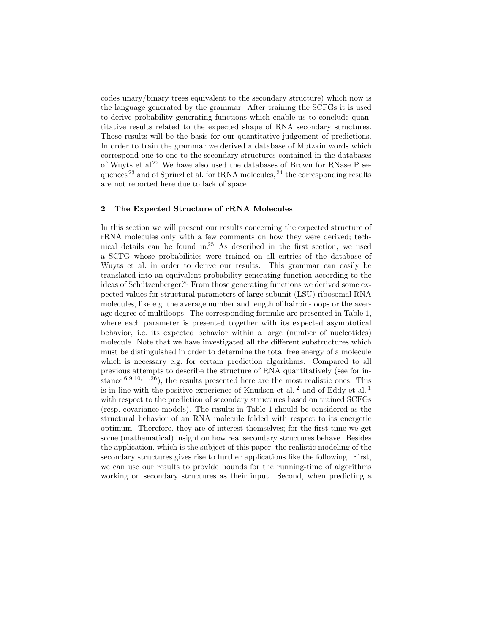codes unary/binary trees equivalent to the secondary structure) which now is the language generated by the grammar. After training the SCFGs it is used to derive probability generating functions which enable us to conclude quantitative results related to the expected shape of RNA secondary structures. Those results will be the basis for our quantitative judgement of predictions. In order to train the grammar we derived a database of Motzkin words which correspond one-to-one to the secondary structures contained in the databases of Wuyts et al.<sup>22</sup> We have also used the databases of Brown for RNase P sequences<sup>23</sup> and of Sprinzl et al. for tRNA molecules,  $^{24}$  the corresponding results are not reported here due to lack of space.

## **2 The Expected Structure of rRNA Molecules**

In this section we will present our results concerning the expected structure of rRNA molecules only with a few comments on how they were derived; technical details can be found in.<sup>25</sup> As described in the first section, we used a SCFG whose probabilities were trained on all entries of the database of Wuyts et al. in order to derive our results. This grammar can easily be translated into an equivalent probability generating function according to the ideas of Schützenberger.<sup>20</sup> From those generating functions we derived some expected values for structural parameters of large subunit (LSU) ribosomal RNA molecules, like e.g. the average number and length of hairpin-loops or the average degree of multiloops. The corresponding formulæ are presented in Table 1, where each parameter is presented together with its expected asymptotical behavior, i.e. its expected behavior within a large (number of nucleotides) molecule. Note that we have investigated all the different substructures which must be distinguished in order to determine the total free energy of a molecule which is necessary e.g. for certain prediction algorithms. Compared to all previous attempts to describe the structure of RNA quantitatively (see for instance  $6,9,10,11,26$ ), the results presented here are the most realistic ones. This is in line with the positive experience of Knudsen et al.<sup>2</sup> and of Eddy et al.<sup>1</sup> with respect to the prediction of secondary structures based on trained SCFGs (resp. covariance models). The results in Table 1 should be considered as the structural behavior of an RNA molecule folded with respect to its energetic optimum. Therefore, they are of interest themselves; for the first time we get some (mathematical) insight on how real secondary structures behave. Besides the application, which is the subject of this paper, the realistic modeling of the secondary structures gives rise to further applications like the following: First, we can use our results to provide bounds for the running-time of algorithms working on secondary structures as their input. Second, when predicting a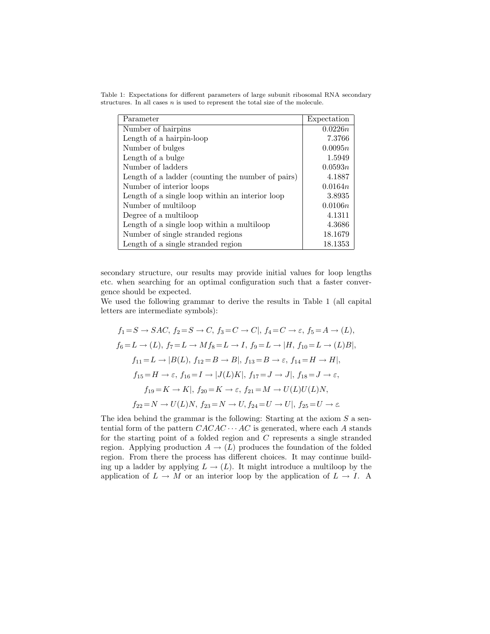| Parameter                                         | Expectation |
|---------------------------------------------------|-------------|
| Number of hairpins                                | 0.0226n     |
| Length of a hairpin-loop                          | 7.3766      |
| Number of bulges                                  | 0.0095n     |
| Length of a bulge                                 | 1.5949      |
| Number of ladders                                 | 0.0593n     |
| Length of a ladder (counting the number of pairs) | 4.1887      |
| Number of interior loops                          | 0.0164n     |
| Length of a single loop within an interior loop   | 3.8935      |
| Number of multiloop                               | 0.0106n     |
| Degree of a multiloop                             | 4.1311      |
| Length of a single loop within a multiloop        | 4.3686      |
| Number of single stranded regions                 | 18.1679     |
| Length of a single stranded region                | 18.1353     |

Table 1: Expectations for different parameters of large subunit ribosomal RNA secondary structures. In all cases *n* is used to represent the total size of the molecule.

secondary structure, our results may provide initial values for loop lengths etc. when searching for an optimal configuration such that a faster convergence should be expected.

We used the following grammar to derive the results in Table 1 (all capital letters are intermediate symbols):

$$
f_1 = S \rightarrow SAC, f_2 = S \rightarrow C, f_3 = C \rightarrow C|, f_4 = C \rightarrow \varepsilon, f_5 = A \rightarrow (L),
$$
  
\n
$$
f_6 = L \rightarrow (L), f_7 = L \rightarrow Mf_8 = L \rightarrow I, f_9 = L \rightarrow |H, f_{10} = L \rightarrow (L)B|,
$$
  
\n
$$
f_{11} = L \rightarrow |B(L), f_{12} = B \rightarrow B|, f_{13} = B \rightarrow \varepsilon, f_{14} = H \rightarrow H|,
$$
  
\n
$$
f_{15} = H \rightarrow \varepsilon, f_{16} = I \rightarrow |J(L)K|, f_{17} = J \rightarrow J|, f_{18} = J \rightarrow \varepsilon,
$$
  
\n
$$
f_{19} = K \rightarrow K|, f_{20} = K \rightarrow \varepsilon, f_{21} = M \rightarrow U(L)U(L)N,
$$
  
\n
$$
f_{22} = N \rightarrow U(L)N, f_{23} = N \rightarrow U, f_{24} = U \rightarrow U|, f_{25} = U \rightarrow \varepsilon.
$$

The idea behind the grammar is the following: Starting at the axiom  $S$  a sentential form of the pattern  $CACAC \cdots AC$  is generated, where each A stands for the starting point of a folded region and  $C$  represents a single stranded region. Applying production  $A \to (L)$  produces the foundation of the folded region. From there the process has different choices. It may continue building up a ladder by applying  $L \to (L)$ . It might introduce a multiloop by the application of  $L \to M$  or an interior loop by the application of  $L \to I$ . A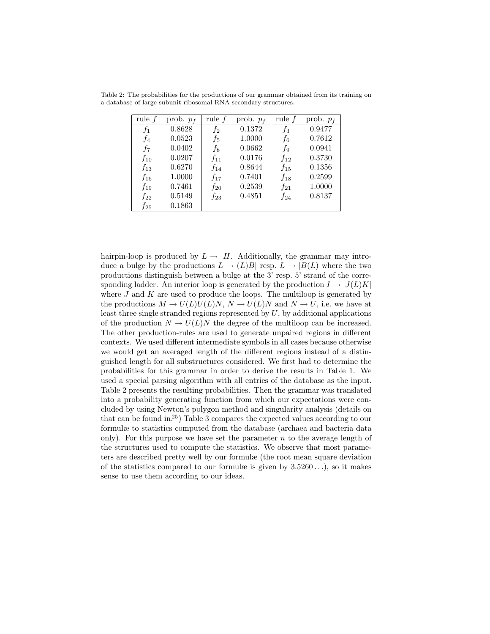| rule $f$ | prob. $p_f$ | rule $f$ | prob. $p_f$ | rule $f$ | prob. $p_f$ |
|----------|-------------|----------|-------------|----------|-------------|
| $f_1$    | 0.8628      | $f_2$    | 0.1372      | $f_3$    | 0.9477      |
| $f_4$    | 0.0523      | $f_5$    | 1.0000      | fв       | 0.7612      |
| $f_7$    | 0.0402      | f8       | 0.0662      | f9       | 0.0941      |
| $f_{10}$ | 0.0207      | $f_{11}$ | 0.0176      | $f_{12}$ | 0.3730      |
| $f_{13}$ | 0.6270      | $f_{14}$ | 0.8644      | $f_{15}$ | 0.1356      |
| $f_{16}$ | 1.0000      | $f_{17}$ | 0.7401      | $f_{18}$ | 0.2599      |
| $f_{19}$ | 0.7461      | $f_{20}$ | 0.2539      | $f_{21}$ | 1.0000      |
| $f_{22}$ | 0.5149      | $f_{23}$ | 0.4851      | $f_{24}$ | 0.8137      |
| $f_{25}$ | 0.1863      |          |             |          |             |

Table 2: The probabilities for the productions of our grammar obtained from its training on a database of large subunit ribosomal RNA secondary structures.

hairpin-loop is produced by  $L \to |H|$ . Additionally, the grammar may introduce a bulge by the productions  $L \to (L)B$  resp.  $L \to (B(L))$  where the two productions distinguish between a bulge at the 3' resp. 5' strand of the corresponding ladder. An interior loop is generated by the production  $I \rightarrow |J(L)K|$ where  $J$  and  $K$  are used to produce the loops. The multiloop is generated by the productions  $M \to U(L)U(L)N$ ,  $N \to U(L)N$  and  $N \to U$ , i.e. we have at least three single stranded regions represented by  $U$ , by additional applications of the production  $N \to U(L)N$  the degree of the multiloop can be increased. The other production-rules are used to generate unpaired regions in different contexts. We used different intermediate symbols in all cases because otherwise we would get an averaged length of the different regions instead of a distinguished length for all substructures considered. We first had to determine the probabilities for this grammar in order to derive the results in Table 1. We used a special parsing algorithm with all entries of the database as the input. Table 2 presents the resulting probabilities. Then the grammar was translated into a probability generating function from which our expectations were concluded by using Newton's polygon method and singularity analysis (details on that can be found in.<sup>25</sup>) Table 3 compares the expected values according to our formulæ to statistics computed from the database (archaea and bacteria data only). For this purpose we have set the parameter  $n$  to the average length of the structures used to compute the statistics. We observe that most parameters are described pretty well by our formulæ (the root mean square deviation of the statistics compared to our formulæ is given by  $3.5260\dots$ , so it makes sense to use them according to our ideas.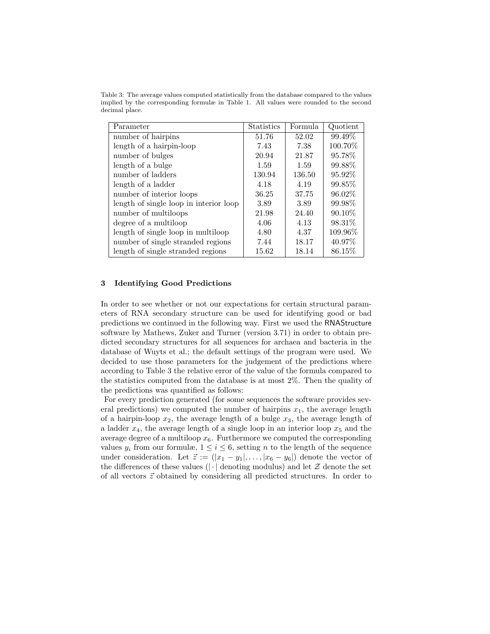Table 3: The average values computed statistically from the database compared to the values implied by the corresponding formulæ in Table 1. All values were rounded to the second decimal place.

| Parameter                              | <b>Statistics</b> | Formula | Quotient  |
|----------------------------------------|-------------------|---------|-----------|
| number of hairpins                     | 51.76             | 52.02   | 99.49%    |
| length of a hairpin-loop               | 7.43              | 7.38    | 100.70%   |
| number of bulges                       | 20.94             | 21.87   | 95.78%    |
| length of a bulge                      | 1.59              | 1.59    | 99.88%    |
| number of ladders                      | 130.94            | 136.50  | 95.92\%   |
| length of a ladder                     | 4.18              | 4.19    | 99.85%    |
| number of interior loops               | 36.25             | 37.75   | 96.02%    |
| length of single loop in interior loop | 3.89              | 3.89    | 99.98%    |
| number of multiloops                   | 21.98             | 24.40   | $90.10\%$ |
| degree of a multiloop                  | 4.06              | 4.13    | 98.31\%   |
| length of single loop in multiloop     | 4.80              | 4.37    | 109.96%   |
| number of single stranded regions      | 7.44              | 18.17   | 40.97%    |
| length of single stranded regions      | 15.62             | 18.14   | 86.15\%   |

### **3 Identifying Good Predictions**

In order to see whether or not our expectations for certain structural parameters of RNA secondary structure can be used for identifying good or bad predictions we continued in the following way. First we used the RNAStructure software by Mathews, Zuker and Turner (version 3.71) in order to obtain predicted secondary structures for all sequences for archaea and bacteria in the database of Wuyts et al.; the default settings of the program were used. We decided to use those parameters for the judgement of the predictions where according to Table 3 the relative error of the value of the formula compared to the statistics computed from the database is at most 2%. Then the quality of the predictions was quantified as follows:

For every prediction generated (for some sequences the software provides several predictions) we computed the number of hairpins  $x_1$ , the average length of a hairpin-loop  $x_2$ , the average length of a bulge  $x_3$ , the average length of a ladder  $x_4$ , the average length of a single loop in an interior loop  $x_5$  and the average degree of a multiloop  $x_6$ . Furthermore we computed the corresponding values  $y_i$  from our formulæ,  $1 \leq i \leq 6$ , setting *n* to the length of the sequence under consideration. Let  $\vec{z} := (|x_1 - y_1|, \ldots, |x_6 - y_6|)$  denote the vector of the differences of these values ( $|\cdot|$  denoting modulus) and let  $\mathcal Z$  denote the set of all vectors  $\vec{z}$  obtained by considering all predicted structures. In order to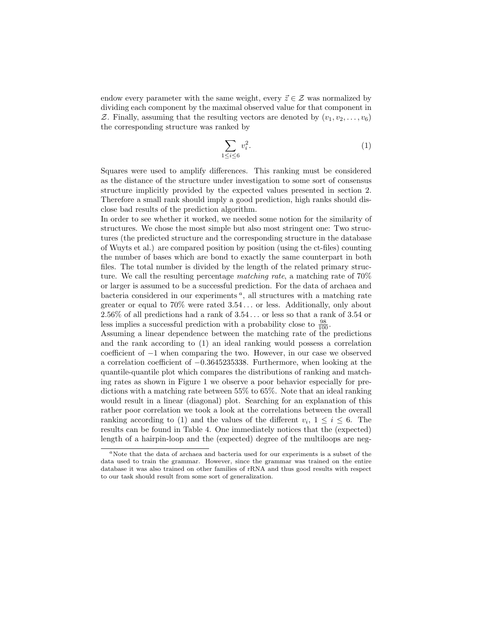endow every parameter with the same weight, every  $\vec{z} \in \mathcal{Z}$  was normalized by dividing each component by the maximal observed value for that component in Z. Finally, assuming that the resulting vectors are denoted by  $(v_1, v_2, \ldots, v_6)$ the corresponding structure was ranked by

$$
\sum_{1 \le i \le 6} v_i^2. \tag{1}
$$

Squares were used to amplify differences. This ranking must be considered as the distance of the structure under investigation to some sort of consensus structure implicitly provided by the expected values presented in section 2. Therefore a small rank should imply a good prediction, high ranks should disclose bad results of the prediction algorithm.

In order to see whether it worked, we needed some notion for the similarity of structures. We chose the most simple but also most stringent one: Two structures (the predicted structure and the corresponding structure in the database of Wuyts et al.) are compared position by position (using the ct-files) counting the number of bases which are bond to exactly the same counterpart in both files. The total number is divided by the length of the related primary structure. We call the resulting percentage *matching rate*, a matching rate of 70% or larger is assumed to be a successful prediction. For the data of archaea and bacteria considered in our experiments  $a$ , all structures with a matching rate greater or equal to 70% were rated 3.54 ... or less. Additionally, only about 2.56% of all predictions had a rank of 3.54 ... or less so that a rank of 3.54 or less implies a successful prediction with a probability close to  $\frac{98}{100}$ .

Assuming a linear dependence between the matching rate of the predictions and the rank according to (1) an ideal ranking would possess a correlation coefficient of −1 when comparing the two. However, in our case we observed a correlation coefficient of −0.3645235338. Furthermore, when looking at the quantile-quantile plot which compares the distributions of ranking and matching rates as shown in Figure 1 we observe a poor behavior especially for predictions with a matching rate between 55% to 65%. Note that an ideal ranking would result in a linear (diagonal) plot. Searching for an explanation of this rather poor correlation we took a look at the correlations between the overall ranking according to (1) and the values of the different  $v_i$ ,  $1 \leq i \leq 6$ . The results can be found in Table 4. One immediately notices that the (expected) length of a hairpin-loop and the (expected) degree of the multiloops are neg-

*<sup>a</sup>*Note that the data of archaea and bacteria used for our experiments is a subset of the data used to train the grammar. However, since the grammar was trained on the entire database it was also trained on other families of rRNA and thus good results with respect to our task should result from some sort of generalization.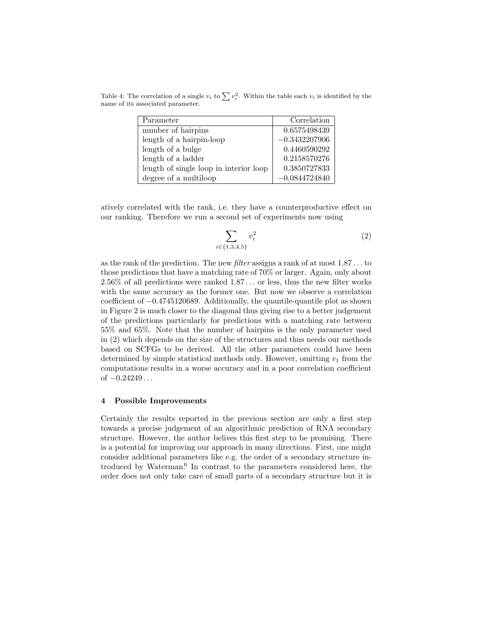Table 4: The correlation of a single  $v_i$  to  $\sum v_i^2$ . Within the table each  $v_i$  is identified by the name of its associated parameter.

| Parameter                              | Correlation     |
|----------------------------------------|-----------------|
| number of hairpins                     | 0.6575498439    |
| length of a hairpin-loop               | $-0.3432207906$ |
| length of a bulge                      | 0.4460590292    |
| length of a ladder                     | 0.2158570276    |
| length of single loop in interior loop | 0.3850727833    |
| degree of a multiloop                  | $-0.0844724840$ |

atively correlated with the rank, i.e. they have a counterproductive effect on our ranking. Therefore we run a second set of experiments now using

$$
\sum_{i \in \{1,3,4,5\}} v_i^2 \tag{2}
$$

as the rank of the prediction. The new *filter* assigns a rank of at most 1.87 ... to those predictions that have a matching rate of 70% or larger. Again, only about 2.56% of all predictions were ranked 1.87 ... or less, thus the new filter works with the same accuracy as the former one. But now we observe a correlation coefficient of −0.4745120689. Additionally, the quantile-quantile plot as shown in Figure 2 is much closer to the diagonal thus giving rise to a better judgement of the predictions particularly for predictions with a matching rate between 55% and 65%. Note that the number of hairpins is the only parameter used in (2) which depends on the size of the structures and thus needs our methods based on SCFGs to be derived. All the other parameters could have been determined by simple statistical methods only. However, omitting  $v_1$  from the computations results in a worse accuracy and in a poor correlation coefficient of  $-0.24249...$ 

## **4 Possible Improvements**

Certainly the results reported in the previous section are only a first step towards a precise judgement of an algorithmic prediction of RNA secondary structure. However, the author belives this first step to be promising. There is a potential for improving our approach in many directions. First, one might consider additional parameters like e.g. the order of a secondary structure introduced by Waterman.<sup>6</sup> In contrast to the parameters considered here, the order does not only take care of small parts of a secondary structure but it is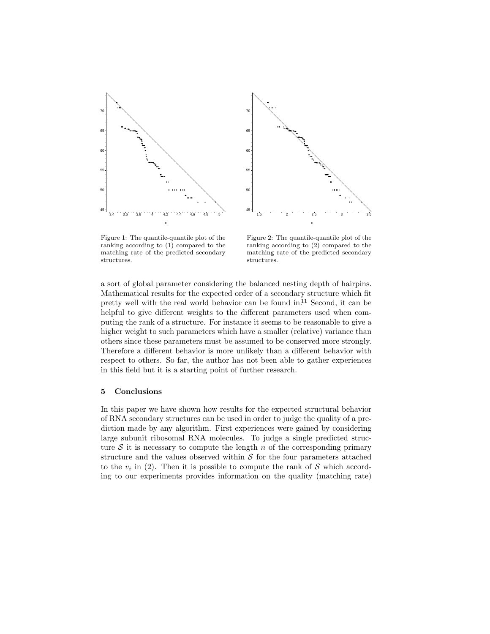



Figure 1: The quantile-quantile plot of the ranking according to (1) compared to the matching rate of the predicted secondary structures.

Figure 2: The quantile-quantile plot of the ranking according to (2) compared to the matching rate of the predicted secondary structures.

a sort of global parameter considering the balanced nesting depth of hairpins. Mathematical results for the expected order of a secondary structure which fit pretty well with the real world behavior can be found  $\text{in}^{11}$  Second, it can be helpful to give different weights to the different parameters used when computing the rank of a structure. For instance it seems to be reasonable to give a higher weight to such parameters which have a smaller (relative) variance than others since these parameters must be assumed to be conserved more strongly. Therefore a different behavior is more unlikely than a different behavior with respect to others. So far, the author has not been able to gather experiences in this field but it is a starting point of further research.

## **5 Conclusions**

In this paper we have shown how results for the expected structural behavior of RNA secondary structures can be used in order to judge the quality of a prediction made by any algorithm. First experiences were gained by considering large subunit ribosomal RNA molecules. To judge a single predicted structure S it is necessary to compute the length n of the corresponding primary structure and the values observed within  $S$  for the four parameters attached to the  $v_i$  in (2). Then it is possible to compute the rank of S which according to our experiments provides information on the quality (matching rate)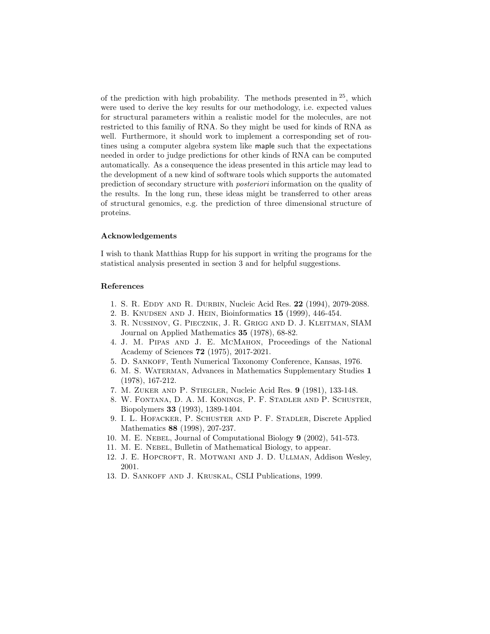of the prediction with high probability. The methods presented in  $25$ , which were used to derive the key results for our methodology, i.e. expected values for structural parameters within a realistic model for the molecules, are not restricted to this familiy of RNA. So they might be used for kinds of RNA as well. Furthermore, it should work to implement a corresponding set of routines using a computer algebra system like maple such that the expectations needed in order to judge predictions for other kinds of RNA can be computed automatically. As a consequence the ideas presented in this article may lead to the development of a new kind of software tools which supports the automated prediction of secondary structure with *posteriori* information on the quality of the results. In the long run, these ideas might be transferred to other areas of structural genomics, e.g. the prediction of three dimensional structure of proteins.

#### **Acknowledgements**

I wish to thank Matthias Rupp for his support in writing the programs for the statistical analysis presented in section 3 and for helpful suggestions.

## **References**

- 1. S. R. Eddy and R. Durbin, Nucleic Acid Res. **22** (1994), 2079-2088.
- 2. B. Knudsen and J. Hein, Bioinformatics **15** (1999), 446-454.
- 3. R. Nussinov, G. Piecznik, J. R. Grigg and D. J. Kleitman, SIAM Journal on Applied Mathematics **35** (1978), 68-82.
- 4. J. M. Pipas and J. E. McMahon, Proceedings of the National Academy of Sciences **72** (1975), 2017-2021.
- 5. D. Sankoff, Tenth Numerical Taxonomy Conference, Kansas, 1976.
- 6. M. S. Waterman, Advances in Mathematics Supplementary Studies **1** (1978), 167-212.
- 7. M. Zuker and P. Stiegler, Nucleic Acid Res. **9** (1981), 133-148.
- 8. W. Fontana, D. A. M. Konings, P. F. Stadler and P. Schuster, Biopolymers **33** (1993), 1389-1404.
- 9. I. L. Hofacker, P. Schuster and P. F. Stadler, Discrete Applied Mathematics **88** (1998), 207-237.
- 10. M. E. Nebel, Journal of Computational Biology **9** (2002), 541-573.
- 11. M. E. Nebel, Bulletin of Mathematical Biology, to appear.
- 12. J. E. Hopcroft, R. Motwani and J. D. Ullman, Addison Wesley, 2001.
- 13. D. Sankoff and J. Kruskal, CSLI Publications, 1999.